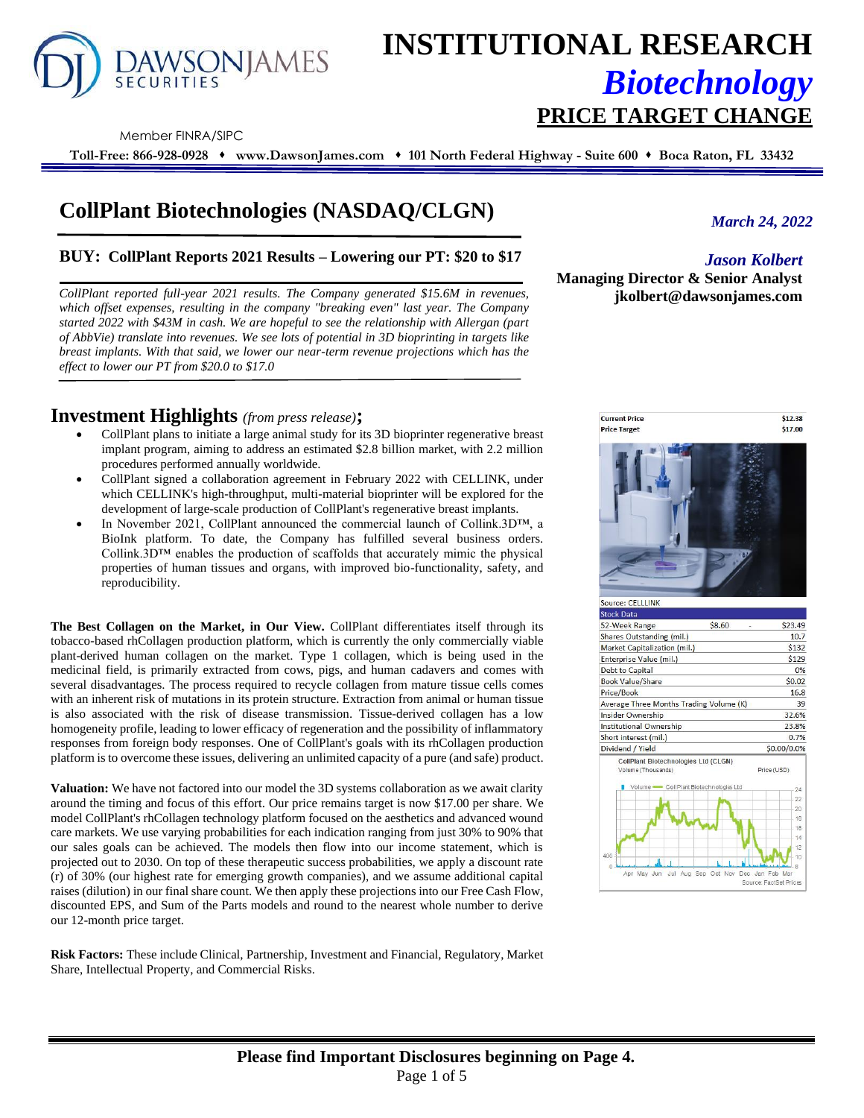

# **INSTITUTIONAL RESEARCH** *Biotechnology* **PRICE TARGET CHANGE**

Member FINRA/SIPC

**Toll-Free: 866-928-0928** ⬧ **www.DawsonJames.com** ⬧ **101 North Federal Highway - Suite 600** ⬧ **Boca Raton, FL 33432**

## **CollPlant Biotechnologies (NASDAQ/CLGN)**

#### **BUY: CollPlant Reports 2021 Results – Lowering our PT: \$20 to \$17**

*CollPlant reported full-year 2021 results. The Company generated \$15.6M in revenues, which offset expenses, resulting in the company "breaking even" last year. The Company started 2022 with \$43M in cash. We are hopeful to see the relationship with Allergan (part of AbbVie) translate into revenues. We see lots of potential in 3D bioprinting in targets like breast implants. With that said, we lower our near-term revenue projections which has the effect to lower our PT from \$20.0 to \$17.0*

### **Investment Highlights** *(from press release)***;**

- CollPlant plans to initiate a large animal study for its 3D bioprinter regenerative breast implant program, aiming to address an estimated \$2.8 billion market, with 2.2 million procedures performed annually worldwide.
- CollPlant signed a collaboration agreement in February 2022 with CELLINK, under which CELLINK's high-throughput, multi-material bioprinter will be explored for the development of large-scale production of CollPlant's regenerative breast implants.
- In November 2021, CollPlant announced the commercial launch of Collink.3D™, a BioInk platform. To date, the Company has fulfilled several business orders. Collink.3D<sup>™</sup> enables the production of scaffolds that accurately mimic the physical properties of human tissues and organs, with improved bio-functionality, safety, and reproducibility.

**The Best Collagen on the Market, in Our View.** CollPlant differentiates itself through its tobacco-based rhCollagen production platform, which is currently the only commercially viable plant-derived human collagen on the market. Type 1 collagen, which is being used in the medicinal field, is primarily extracted from cows, pigs, and human cadavers and comes with several disadvantages. The process required to recycle collagen from mature tissue cells comes with an inherent risk of mutations in its protein structure. Extraction from animal or human tissue is also associated with the risk of disease transmission. Tissue-derived collagen has a low homogeneity profile, leading to lower efficacy of regeneration and the possibility of inflammatory responses from foreign body responses. One of CollPlant's goals with its rhCollagen production platform is to overcome these issues, delivering an unlimited capacity of a pure (and safe) product.

**Valuation:** We have not factored into our model the 3D systems collaboration as we await clarity around the timing and focus of this effort. Our price remains target is now \$17.00 per share. We model CollPlant's rhCollagen technology platform focused on the aesthetics and advanced wound care markets. We use varying probabilities for each indication ranging from just 30% to 90% that our sales goals can be achieved. The models then flow into our income statement, which is projected out to 2030. On top of these therapeutic success probabilities, we apply a discount rate (r) of 30% (our highest rate for emerging growth companies), and we assume additional capital raises (dilution) in our final share count. We then apply these projections into our Free Cash Flow, discounted EPS, and Sum of the Parts models and round to the nearest whole number to derive our 12-month price target.

**Risk Factors:** These include Clinical, Partnership, Investment and Financial, Regulatory, Market Share, Intellectual Property, and Commercial Risks.

*March 24, 2022*

#### *Jason Kolbert*

**Managing Director & Senior Analyst jkolbert@dawsonjames.com**

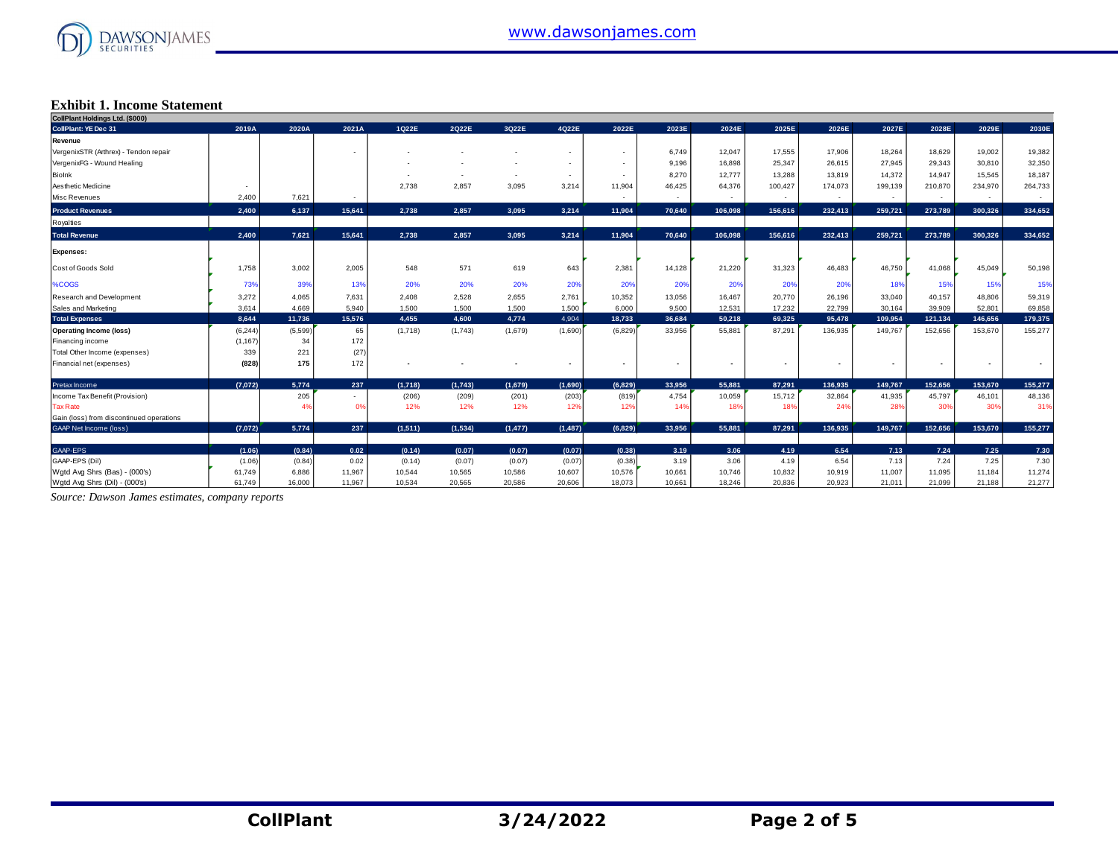

#### **Exhibit 1. Income Statement**

| CollPlant Holdings Ltd. (\$000)          |          |         |        |         |         |          |                          |                          |                          |         |         |         |                |                |                          |         |
|------------------------------------------|----------|---------|--------|---------|---------|----------|--------------------------|--------------------------|--------------------------|---------|---------|---------|----------------|----------------|--------------------------|---------|
| <b>CollPlant: YE Dec 31</b>              | 2019A    | 2020A   | 2021A  | 1Q22E   | 2Q22E   | 3Q22E    | 4Q22E                    | 2022E                    | 2023E                    | 2024E   | 2025E   | 2026E   | 2027E          | 2028E          | 2029E                    | 2030E   |
| Revenue                                  |          |         |        |         |         |          |                          |                          |                          |         |         |         |                |                |                          |         |
| VergenixSTR (Arthrex) - Tendon repair    |          |         |        |         |         |          | $\overline{\phantom{a}}$ | $\overline{\phantom{a}}$ | 6,749                    | 12,047  | 17,555  | 17,906  | 18,264         | 18,629         | 19,002                   | 19,382  |
| VergenixFG - Wound Healing               |          |         |        |         |         |          |                          |                          | 9,196                    | 16,898  | 25,347  | 26,615  | 27,945         | 29,343         | 30,810                   | 32,350  |
| Biolnk                                   |          |         |        |         |         |          | $\sim$                   |                          | 8,270                    | 12,777  | 13,288  | 13,819  | 14,372         | 14,947         | 15,545                   | 18,187  |
| Aesthetic Medicine                       |          |         |        | 2,738   | 2,857   | 3,095    | 3,214                    | 11,904                   | 46,425                   | 64,376  | 100,427 | 174,073 | 199,139        | 210,870        | 234,970                  | 264,733 |
| Misc Revenues                            | 2,400    | 7,621   | $\sim$ |         |         |          |                          | $\sim$                   | $\overline{\phantom{a}}$ | $\sim$  | $\sim$  | $\sim$  | $\sim$         | $\sim$         | $\sim$                   | $\sim$  |
| <b>Product Revenues</b>                  | 2,400    | 6,137   | 15,641 | 2,738   | 2,857   | 3.095    | 3,214                    | 11,904                   | 70,640                   | 106,098 | 156,616 | 232,413 | 259,721        | 273,789        | 300.326                  | 334,652 |
| Royalties                                |          |         |        |         |         |          |                          |                          |                          |         |         |         |                |                |                          |         |
| <b>Total Revenue</b>                     | 2,400    | 7,621   | 15,641 | 2,738   | 2,857   | 3,095    | 3,214                    | 11,904                   | 70,640                   | 106,098 | 156,616 | 232,413 | 259,721        | 273,789        | 300,326                  | 334,652 |
| <b>Expenses:</b>                         |          |         |        |         |         |          |                          |                          |                          |         |         |         |                |                |                          |         |
| Cost of Goods Sold                       | 1,758    | 3,002   | 2,005  | 548     | 571     | 619      | 643                      | 2,381                    | 14,128                   | 21,220  | 31,323  | 46,483  | 46,750         | 41,068         | 45,049                   | 50,198  |
| %COGS                                    | 73%      | 39%     | 13%    | 20%     | 20%     | 20%      | 20%                      | 20%                      | 20%                      | 20%     | 20%     | 20%     | 18%            | 15%            | 15%                      | 15%     |
| Research and Development                 | 3,272    | 4,065   | 7,631  | 2,408   | 2,528   | 2,655    | 2,761                    | 10,352                   | 13,056                   | 16,467  | 20,770  | 26,196  | 33,040         | 40,157         | 48,806                   | 59,319  |
| Sales and Marketing                      | 3,614    | 4,669   | 5,940  | 1,500   | 1,500   | 1,500    | 1,500                    | 6,000                    | 9,500                    | 12,531  | 17,232  | 22,799  | 30,164         | 39,909         | 52,801                   | 69,858  |
| <b>Total Expenses</b>                    | 8,644    | 11,736  | 15,576 | 4,455   | 4,600   | 4,774    | 4,904                    | 18,733                   | 36,684                   | 50,218  | 69,325  | 95,478  | 109,954        | 121,134        | 146,656                  | 179,375 |
| <b>Operating Income (loss)</b>           | (6, 244) | (5,599) | 65     | (1,718) | (1,743) | (1,679)  | (1,690)                  | (6, 829)                 | 33,956                   | 55,881  | 87,291  | 136,935 | 149,767        | 152,656        | 153,670                  | 155,277 |
| Financing income                         | (1, 167) | 34      | 172    |         |         |          |                          |                          |                          |         |         |         |                |                |                          |         |
| Total Other Income (expenses)            | 339      | 221     | (27)   |         |         |          |                          |                          |                          |         |         |         |                |                |                          |         |
| Financial net (expenses)                 | (828)    | 175     | 172    |         |         |          | $\overline{\phantom{a}}$ | $\overline{\phantom{a}}$ |                          | ٠       | ٠       |         | $\blacksquare$ | $\blacksquare$ | $\overline{\phantom{a}}$ |         |
| Pretax Income                            | (7,072)  | 5,774   | 237    | (1,718) | (1,743) | (1.679)  | (1,690)                  | (6.829)                  | 33.956                   | 55.881  | 87,291  | 136.935 | 149,767        | 152.656        | 153,670                  | 155,277 |
| Income Tax Benefit (Provision)           |          | 205     |        | (206)   | (209)   | (201)    | (203)                    | (819)                    | 4,754                    | 10,059  | 15,712  | 32,864  | 41,935         | 45,797         | 46,101                   | 48,136  |
| <b>Tax Rate</b>                          |          | 4%      | 0%     | 12%     | 12%     | 12%      | 12%                      | 12%                      | 14%                      | 18%     | 18%     | 24%     | 28%            | 30%            | 30%                      | 31%     |
| Gain (loss) from discontinued operations |          |         |        |         |         |          |                          |                          |                          |         |         |         |                |                |                          |         |
| <b>GAAP Net Income (loss)</b>            | (7,072)  | 5,774   | 237    | (1,511) | (1,534) | (1, 477) | (1, 487)                 | (6,829)                  | 33.956                   | 55.881  | 87.291  | 136.935 | 149.767        | 152.656        | 153,670                  | 155.277 |
| GAAP-EPS                                 | (1.06)   | (0.84)  | 0.02   | (0.14)  | (0.07)  | (0.07)   | (0.07)                   | (0.38)                   | 3.19                     | 3.06    | 4.19    | 6.54    | 7.13           | 7.24           | 7.25                     | 7.30    |
| GAAP-EPS (Dil)                           | (1.06)   | (0.84)  | 0.02   | (0.14)  | (0.07)  | (0.07)   | (0.07)                   | (0.38)                   | 3.19                     | 3.06    | 4.19    | 6.54    | 7.13           | 7.24           | 7.25                     | 7.30    |
| Wgtd Avg Shrs (Bas) - (000's)            | 61,749   | 6,886   | 11,967 | 10,544  | 10,565  | 10,586   | 10,607                   | 10,576                   | 10,661                   | 10,746  | 10,832  | 10,919  | 11,007         | 11,095         | 11,184                   | 11,274  |
| Wgtd Avg Shrs (Dil) - (000's)            | 61.749   | 16,000  | 11.967 | 10.534  | 20.565  | 20.586   | 20,606                   | 18.073                   | 10.661                   | 18.246  | 20.836  | 20.923  | 21.011         | 21.099         | 21.188                   | 21,277  |

*Source: Dawson James estimates, company reports*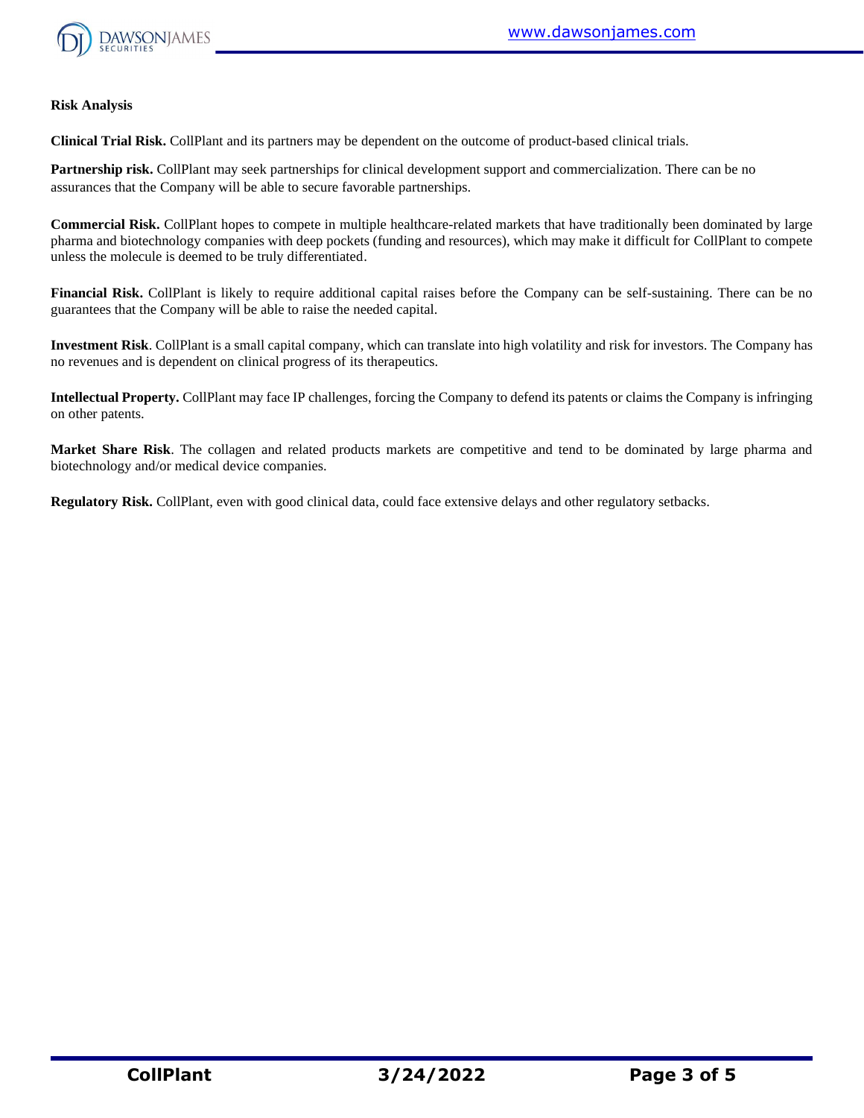

#### **Risk Analysis**

**Clinical Trial Risk.** CollPlant and its partners may be dependent on the outcome of product-based clinical trials.

**Partnership risk.** CollPlant may seek partnerships for clinical development support and commercialization. There can be no assurances that the Company will be able to secure favorable partnerships.

**Commercial Risk.** CollPlant hopes to compete in multiple healthcare-related markets that have traditionally been dominated by large pharma and biotechnology companies with deep pockets (funding and resources), which may make it difficult for CollPlant to compete unless the molecule is deemed to be truly differentiated.

**Financial Risk.** CollPlant is likely to require additional capital raises before the Company can be self-sustaining. There can be no guarantees that the Company will be able to raise the needed capital.

**Investment Risk**. CollPlant is a small capital company, which can translate into high volatility and risk for investors. The Company has no revenues and is dependent on clinical progress of its therapeutics.

**Intellectual Property.** CollPlant may face IP challenges, forcing the Company to defend its patents or claims the Company is infringing on other patents.

**Market Share Risk**. The collagen and related products markets are competitive and tend to be dominated by large pharma and biotechnology and/or medical device companies.

**Regulatory Risk.** CollPlant, even with good clinical data, could face extensive delays and other regulatory setbacks.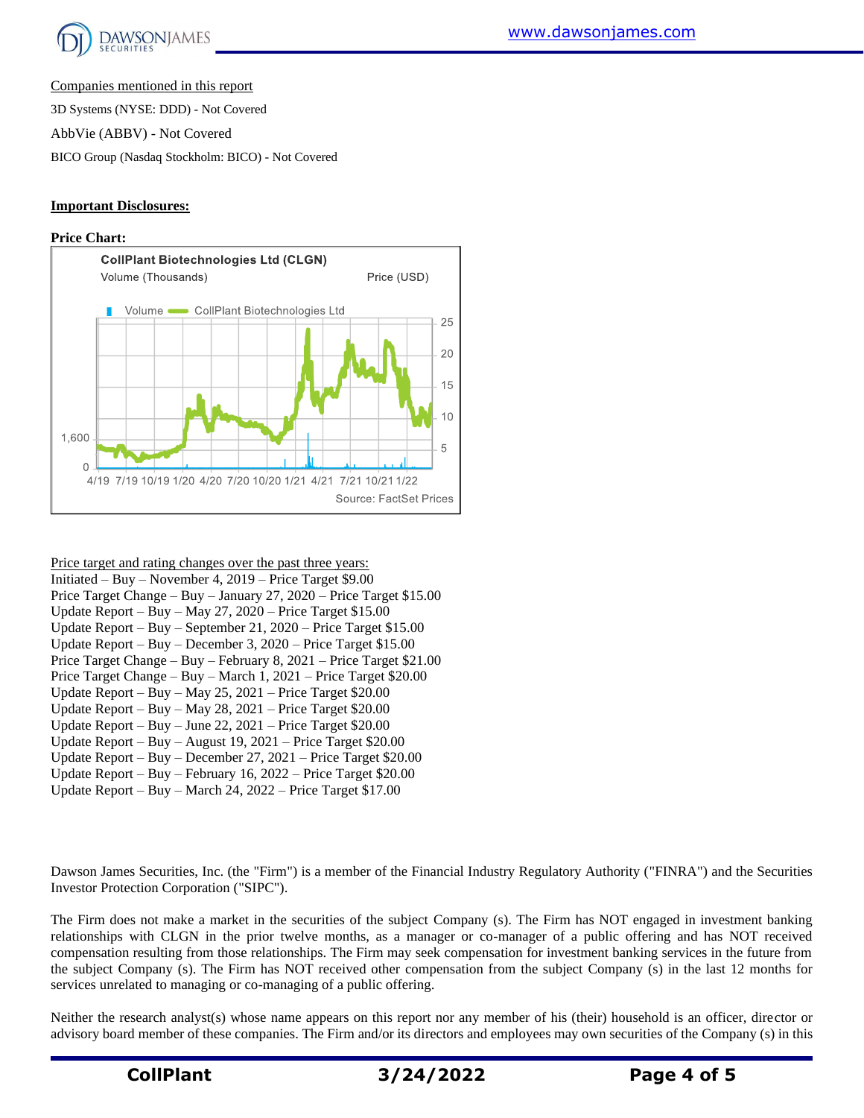

Companies mentioned in this report

3D Systems (NYSE: DDD) - Not Covered

AbbVie (ABBV) - Not Covered

BICO Group (Nasdaq Stockholm: BICO) - Not Covered

#### **Important Disclosures:**

#### **Price Chart:**



| Price target and rating changes over the past three years:          |  |  |  |  |  |  |
|---------------------------------------------------------------------|--|--|--|--|--|--|
| Initiated – Buy – November 4, 2019 – Price Target \$9.00            |  |  |  |  |  |  |
| Price Target Change - Buy - January 27, 2020 - Price Target \$15.00 |  |  |  |  |  |  |
| Update Report – Buy – May 27, 2020 – Price Target $$15.00$          |  |  |  |  |  |  |
| Update Report – Buy – September 21, 2020 – Price Target $$15.00$    |  |  |  |  |  |  |
| Update Report – Buy – December 3, $2020$ – Price Target \$15.00     |  |  |  |  |  |  |
| Price Target Change - Buy - February 8, 2021 - Price Target \$21.00 |  |  |  |  |  |  |
| Price Target Change – Buy – March 1, 2021 – Price Target \$20.00    |  |  |  |  |  |  |
| Update Report - Buy - May 25, 2021 - Price Target $$20.00$          |  |  |  |  |  |  |
| Update Report - Buy - May 28, 2021 - Price Target \$20.00           |  |  |  |  |  |  |
| Update Report - Buy - June 22, 2021 - Price Target \$20.00          |  |  |  |  |  |  |
| Update Report – Buy – August 19, 2021 – Price Target $$20.00$       |  |  |  |  |  |  |
| Update Report – Buy – December 27, 2021 – Price Target $$20.00$     |  |  |  |  |  |  |
| Update Report - Buy - February 16, 2022 - Price Target \$20.00      |  |  |  |  |  |  |
| Update Report – Buy – March 24, $2022$ – Price Target \$17.00       |  |  |  |  |  |  |

Dawson James Securities, Inc. (the "Firm") is a member of the Financial Industry Regulatory Authority ("FINRA") and the Securities Investor Protection Corporation ("SIPC").

The Firm does not make a market in the securities of the subject Company (s). The Firm has NOT engaged in investment banking relationships with CLGN in the prior twelve months, as a manager or co-manager of a public offering and has NOT received compensation resulting from those relationships. The Firm may seek compensation for investment banking services in the future from the subject Company (s). The Firm has NOT received other compensation from the subject Company (s) in the last 12 months for services unrelated to managing or co-managing of a public offering.

Neither the research analyst(s) whose name appears on this report nor any member of his (their) household is an officer, director or advisory board member of these companies. The Firm and/or its directors and employees may own securities of the Company (s) in this